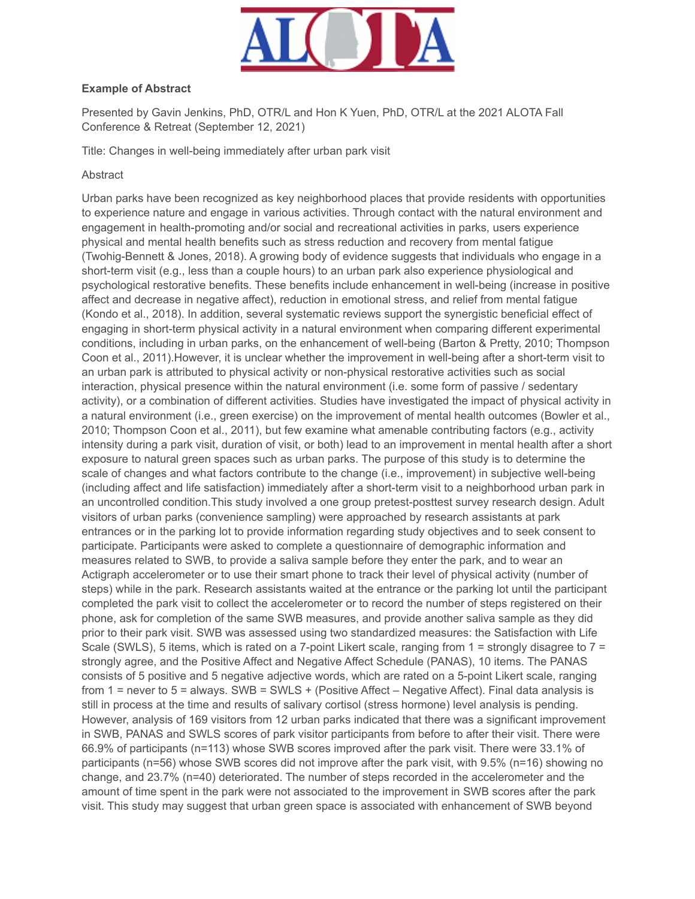

## **Example of Abstract**

Presented by Gavin Jenkins, PhD, OTR/L and Hon K Yuen, PhD, OTR/L at the 2021 ALOTA Fall Conference & Retreat (September 12, 2021)

Title: Changes in well-being immediately after urban park visit

## Abstract

Urban parks have been recognized as key neighborhood places that provide residents with opportunities to experience nature and engage in various activities. Through contact with the natural environment and engagement in health-promoting and/or social and recreational activities in parks, users experience physical and mental health benefits such as stress reduction and recovery from mental fatigue (Twohig-Bennett & Jones, 2018). A growing body of evidence suggests that individuals who engage in a short-term visit (e.g., less than a couple hours) to an urban park also experience physiological and psychological restorative benefits. These benefits include enhancement in well-being (increase in positive affect and decrease in negative affect), reduction in emotional stress, and relief from mental fatigue (Kondo et al., 2018). In addition, several systematic reviews support the synergistic beneficial effect of engaging in short-term physical activity in a natural environment when comparing different experimental conditions, including in urban parks, on the enhancement of well-being (Barton & Pretty, 2010; Thompson Coon et al., 2011).However, it is unclear whether the improvement in well-being after a short-term visit to an urban park is attributed to physical activity or non-physical restorative activities such as social interaction, physical presence within the natural environment (i.e. some form of passive / sedentary activity), or a combination of different activities. Studies have investigated the impact of physical activity in a natural environment (i.e., green exercise) on the improvement of mental health outcomes (Bowler et al., 2010; Thompson Coon et al., 2011), but few examine what amenable contributing factors (e.g., activity intensity during a park visit, duration of visit, or both) lead to an improvement in mental health after a short exposure to natural green spaces such as urban parks. The purpose of this study is to determine the scale of changes and what factors contribute to the change (i.e., improvement) in subjective well-being (including affect and life satisfaction) immediately after a short-term visit to a neighborhood urban park in an uncontrolled condition.This study involved a one group pretest-posttest survey research design. Adult visitors of urban parks (convenience sampling) were approached by research assistants at park entrances or in the parking lot to provide information regarding study objectives and to seek consent to participate. Participants were asked to complete a questionnaire of demographic information and measures related to SWB, to provide a saliva sample before they enter the park, and to wear an Actigraph accelerometer or to use their smart phone to track their level of physical activity (number of steps) while in the park. Research assistants waited at the entrance or the parking lot until the participant completed the park visit to collect the accelerometer or to record the number of steps registered on their phone, ask for completion of the same SWB measures, and provide another saliva sample as they did prior to their park visit. SWB was assessed using two standardized measures: the Satisfaction with Life Scale (SWLS), 5 items, which is rated on a 7-point Likert scale, ranging from 1 = strongly disagree to 7 = strongly agree, and the Positive Affect and Negative Affect Schedule (PANAS), 10 items. The PANAS consists of 5 positive and 5 negative adjective words, which are rated on a 5-point Likert scale, ranging from 1 = never to 5 = always. SWB = SWLS + (Positive Affect – Negative Affect). Final data analysis is still in process at the time and results of salivary cortisol (stress hormone) level analysis is pending. However, analysis of 169 visitors from 12 urban parks indicated that there was a significant improvement in SWB, PANAS and SWLS scores of park visitor participants from before to after their visit. There were 66.9% of participants (n=113) whose SWB scores improved after the park visit. There were 33.1% of participants (n=56) whose SWB scores did not improve after the park visit, with 9.5% (n=16) showing no change, and 23.7% (n=40) deteriorated. The number of steps recorded in the accelerometer and the amount of time spent in the park were not associated to the improvement in SWB scores after the park visit. This study may suggest that urban green space is associated with enhancement of SWB beyond